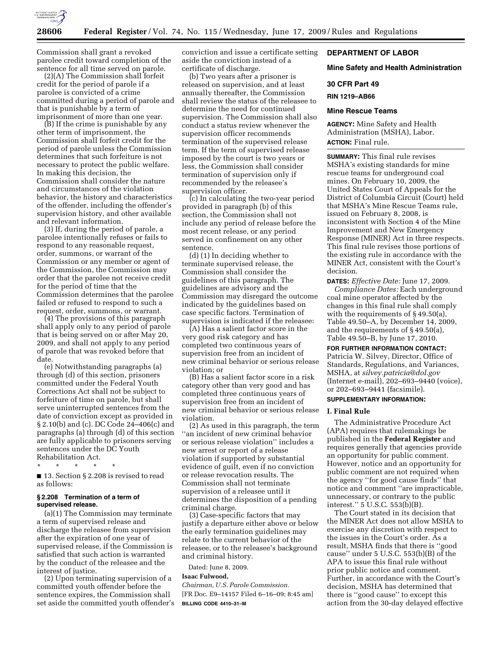

Commission shall grant a revoked parolee credit toward completion of the sentence for all time served on parole.

(2)(A) The Commission shall forfeit credit for the period of parole if a parolee is convicted of a crime committed during a period of parole and that is punishable by a term of imprisonment of more than one year.

(B) If the crime is punishable by any other term of imprisonment, the Commission shall forfeit credit for the period of parole unless the Commission determines that such forfeiture is not necessary to protect the public welfare. In making this decision, the Commission shall consider the nature and circumstances of the violation behavior, the history and characteristics of the offender, including the offender's supervision history, and other available and relevant information.

(3) If, during the period of parole, a parolee intentionally refuses or fails to respond to any reasonable request, order, summons, or warrant of the Commission or any member or agent of the Commission, the Commission may order that the parolee not receive credit for the period of time that the Commission determines that the parolee failed or refused to respond to such a request, order, summons, or warrant.

(4) The provisions of this paragraph shall apply only to any period of parole that is being served on or after May 20, 2009, and shall not apply to any period of parole that was revoked before that date.

(e) Notwithstanding paragraphs (a) through (d) of this section, prisoners committed under the Federal Youth Corrections Act shall not be subject to forfeiture of time on parole, but shall serve uninterrupted sentences from the date of conviction except as provided in § 2.10(b) and (c). DC Code 24–406(c) and paragraphs (a) through (d) of this section are fully applicable to prisoners serving sentences under the DC Youth Rehabilitation Act.

\* \* \* \* \*

■ 13. Section § 2.208 is revised to read as follows:

## **§ 2.208 Termination of a term of supervised release.**

(a)(1) The Commission may terminate a term of supervised release and discharge the releasee from supervision after the expiration of one year of supervised release, if the Commission is satisfied that such action is warranted by the conduct of the releasee and the interest of justice.

(2) Upon terminating supervision of a committed youth offender before the sentence expires, the Commission shall set aside the committed youth offender's conviction and issue a certificate setting aside the conviction instead of a certificate of discharge.

(b) Two years after a prisoner is released on supervision, and at least annually thereafter, the Commission shall review the status of the releasee to determine the need for continued supervision. The Commission shall also conduct a status review whenever the supervision officer recommends termination of the supervised release term. If the term of supervised release imposed by the court is two years or less, the Commission shall consider termination of supervision only if recommended by the releasee's supervision officer.

(c) In calculating the two-year period provided in paragraph (b) of this section, the Commission shall not include any period of release before the most recent release, or any period served in confinement on any other sentence.

(d) (1) In deciding whether to terminate supervised release, the Commission shall consider the guidelines of this paragraph. The guidelines are advisory and the Commission may disregard the outcome indicated by the guidelines based on case specific factors. Termination of supervision is indicated if the releasee:

(A) Has a salient factor score in the very good risk category and has completed two continuous years of supervision free from an incident of new criminal behavior or serious release violation; or

(B) Has a salient factor score in a risk category other than very good and has completed three continuous years of supervision free from an incident of new criminal behavior or serious release violation.

(2) As used in this paragraph, the term ''an incident of new criminal behavior or serious release violation'' includes a new arrest or report of a release violation if supported by substantial evidence of guilt, even if no conviction or release revocation results. The Commission shall not terminate supervision of a releasee until it determines the disposition of a pending criminal charge.

(3) Case-specific factors that may justify a departure either above or below the early termination guidelines may relate to the current behavior of the releasee, or to the releasee's background and criminal history.

Dated: June 8, 2009.

# **Isaac Fulwood,**

*Chairman, U.S. Parole Commission.*  [FR Doc. E9–14157 Filed 6–16–09; 8:45 am] **BILLING CODE 4410–31–M** 

# **DEPARTMENT OF LABOR**

# **Mine Safety and Health Administration**

## **30 CFR Part 49**

**RIN 1219–AB66** 

## **Mine Rescue Teams**

**AGENCY:** Mine Safety and Health Administration (MSHA), Labor. **ACTION:** Final rule.

**SUMMARY:** This final rule revises MSHA's existing standards for mine rescue teams for underground coal mines. On February 10, 2009, the United States Court of Appeals for the District of Columbia Circuit (Court) held that MSHA's Mine Rescue Teams rule, issued on February 8, 2008, is inconsistent with Section 4 of the Mine Improvement and New Emergency Response (MINER) Act in three respects. This final rule revises those portions of the existing rule in accordance with the MINER Act, consistent with the Court's decision.

**DATES:** *Effective Date:* June 17, 2009. *Compliance Dates:* Each underground coal mine operator affected by the changes in this final rule shall comply with the requirements of §49.50(a), Table 49.50–A, by December 14, 2009, and the requirements of § 49.50(a), Table 49.50–B, by June 17, 2010.

#### **FOR FURTHER INFORMATION CONTACT:**

Patricia W. Silvey, Director, Office of Standards, Regulations, and Variances, MSHA, at *silvey.patricia@dol.gov*  (Internet e-mail), 202–693–9440 (voice), or 202–693–9441 (facsimile).

# **SUPPLEMENTARY INFORMATION:**

## **I. Final Rule**

The Administrative Procedure Act (APA) requires that rulemakings be published in the **Federal Register** and requires generally that agencies provide an opportunity for public comment. However, notice and an opportunity for public comment are not required when the agency ''for good cause finds'' that notice and comment ''are impracticable, unnecessary, or contrary to the public interest."  $5$  U.S.C.  $553(b)(B)$ .

The Court stated in its decision that the MINER Act does not allow MSHA to exercise any discretion with respect to the issues in the Court's order. As a result, MSHA finds that there is ''good cause'' under 5 U.S.C. 553(b)(B) of the APA to issue this final rule without prior public notice and comment. Further, in accordance with the Court's decision, MSHA has determined that there is ''good cause'' to except this action from the 30-day delayed effective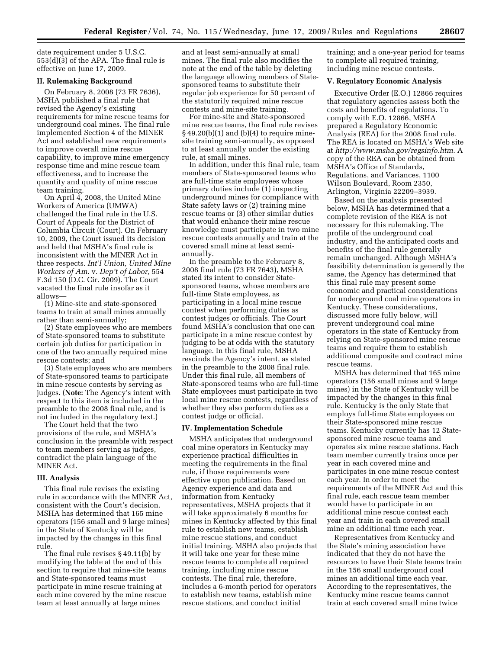date requirement under 5 U.S.C. 553(d)(3) of the APA. The final rule is effective on June 17, 2009.

#### **II. Rulemaking Background**

On February 8, 2008 (73 FR 7636), MSHA published a final rule that revised the Agency's existing requirements for mine rescue teams for underground coal mines. The final rule implemented Section 4 of the MINER Act and established new requirements to improve overall mine rescue capability, to improve mine emergency response time and mine rescue team effectiveness, and to increase the quantity and quality of mine rescue team training.

On April 4, 2008, the United Mine Workers of America (UMWA) challenged the final rule in the U.S. Court of Appeals for the District of Columbia Circuit (Court). On February 10, 2009, the Court issued its decision and held that MSHA's final rule is inconsistent with the MINER Act in three respects. *Int'l Union, United Mine Workers of Am.* v. *Dep't of Labor,* 554 F.3d 150 (D.C. Cir. 2009). The Court vacated the final rule insofar as it allows—

(1) Mine-site and state-sponsored teams to train at small mines annually rather than semi-annually;

(2) State employees who are members of State-sponsored teams to substitute certain job duties for participation in one of the two annually required mine rescue contests; and

(3) State employees who are members of State-sponsored teams to participate in mine rescue contests by serving as judges. (**Note:** The Agency's intent with respect to this item is included in the preamble to the 2008 final rule, and is not included in the regulatory text.)

The Court held that the two provisions of the rule, and MSHA's conclusion in the preamble with respect to team members serving as judges, contradict the plain language of the MINER Act.

#### **III. Analysis**

This final rule revises the existing rule in accordance with the MINER Act, consistent with the Court's decision. MSHA has determined that 165 mine operators (156 small and 9 large mines) in the State of Kentucky will be impacted by the changes in this final rule.

The final rule revises § 49.11(b) by modifying the table at the end of this section to require that mine-site teams and State-sponsored teams must participate in mine rescue training at each mine covered by the mine rescue team at least annually at large mines

and at least semi-annually at small mines. The final rule also modifies the note at the end of the table by deleting the language allowing members of Statesponsored teams to substitute their regular job experience for 50 percent of the statutorily required mine rescue contests and mine-site training.

For mine-site and State-sponsored mine rescue teams, the final rule revises  $\S$  49.20(b)(1) and (b)(4) to require minesite training semi-annually, as opposed to at least annually under the existing rule, at small mines.

In addition, under this final rule, team members of State-sponsored teams who are full-time state employees whose primary duties include (1) inspecting underground mines for compliance with State safety laws or (2) training mine rescue teams or (3) other similar duties that would enhance their mine rescue knowledge must participate in two mine rescue contests annually and train at the covered small mine at least semiannually.

In the preamble to the February 8, 2008 final rule (73 FR 7643), MSHA stated its intent to consider Statesponsored teams, whose members are full-time State employees, as participating in a local mine rescue contest when performing duties as contest judges or officials. The Court found MSHA's conclusion that one can participate in a mine rescue contest by judging to be at odds with the statutory language. In this final rule, MSHA rescinds the Agency's intent, as stated in the preamble to the 2008 final rule. Under this final rule, all members of State-sponsored teams who are full-time State employees must participate in two local mine rescue contests, regardless of whether they also perform duties as a contest judge or official.

#### **IV. Implementation Schedule**

MSHA anticipates that underground coal mine operators in Kentucky may experience practical difficulties in meeting the requirements in the final rule, if those requirements were effective upon publication. Based on Agency experience and data and information from Kentucky representatives, MSHA projects that it will take approximately 6 months for mines in Kentucky affected by this final rule to establish new teams, establish mine rescue stations, and conduct initial training. MSHA also projects that it will take one year for these mine rescue teams to complete all required training, including mine rescue contests. The final rule, therefore, includes a 6-month period for operators to establish new teams, establish mine rescue stations, and conduct initial

training; and a one-year period for teams to complete all required training, including mine rescue contests.

#### **V. Regulatory Economic Analysis**

Executive Order (E.O.) 12866 requires that regulatory agencies assess both the costs and benefits of regulations. To comply with E.O. 12866, MSHA prepared a Regulatory Economic Analysis (REA) for the 2008 final rule. The REA is located on MSHA's Web site at *http://www.msha.gov/regsinfo.htm*. A copy of the REA can be obtained from MSHA's Office of Standards, Regulations, and Variances, 1100 Wilson Boulevard, Room 2350, Arlington, Virginia 22209–3939.

Based on the analysis presented below, MSHA has determined that a complete revision of the REA is not necessary for this rulemaking. The profile of the underground coal industry, and the anticipated costs and benefits of the final rule generally remain unchanged. Although MSHA's feasibility determination is generally the same, the Agency has determined that this final rule may present some economic and practical considerations for underground coal mine operators in Kentucky. These considerations, discussed more fully below, will prevent underground coal mine operators in the state of Kentucky from relying on State-sponsored mine rescue teams and require them to establish additional composite and contract mine rescue teams.

MSHA has determined that 165 mine operators (156 small mines and 9 large mines) in the State of Kentucky will be impacted by the changes in this final rule. Kentucky is the only State that employs full-time State employees on their State-sponsored mine rescue teams. Kentucky currently has 12 Statesponsored mine rescue teams and operates six mine rescue stations. Each team member currently trains once per year in each covered mine and participates in one mine rescue contest each year. In order to meet the requirements of the MINER Act and this final rule, each rescue team member would have to participate in an additional mine rescue contest each year and train in each covered small mine an additional time each year.

Representatives from Kentucky and the State's mining association have indicated that they do not have the resources to have their State teams train in the 156 small underground coal mines an additional time each year. According to the representatives, the Kentucky mine rescue teams cannot train at each covered small mine twice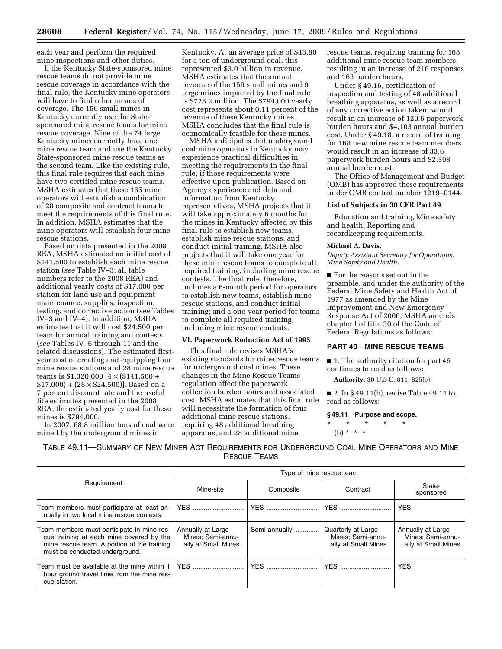each year and perform the required mine inspections and other duties.

If the Kentucky State-sponsored mine rescue teams do not provide mine rescue coverage in accordance with the final rule, the Kentucky mine operators will have to find other means of coverage. The 156 small mines in Kentucky currently use the Statesponsored mine rescue teams for mine rescue coverage. Nine of the 74 large Kentucky mines currently have one mine rescue team and use the Kentucky State-sponsored mine rescue teams as the second team. Like the existing rule, this final rule requires that each mine have two certified mine rescue teams. MSHA estimates that these 165 mine operators will establish a combination of 28 composite and contract teams to meet the requirements of this final rule. In addition, MSHA estimates that the mine operators will establish four mine rescue stations.

Based on data presented in the 2008 REA, MSHA estimated an initial cost of \$141,500 to establish each mine rescue station (*see* Table IV–3; all table numbers refer to the 2008 REA) and additional yearly costs of \$17,000 per station for land use and equipment maintenance, supplies, inspection, testing, and corrective action (*see* Tables IV–3 and IV–4). In addition, MSHA estimates that it will cost \$24,500 per team for annual training and contests (*see* Tables IV–6 through 11 and the related discussions). The estimated firstyear cost of creating and equipping four mine rescue stations and 28 mine rescue teams is  $$1,320,000$  [ $4 \times$  (\$141,500 +  $$17,000$  +  $(28 \times $24,500)$ ]. Based on a 7 percent discount rate and the useful life estimates presented in the 2008 REA, the estimated yearly cost for these mines is \$794,000.

In 2007, 68.8 million tons of coal were mined by the underground mines in

Kentucky. At an average price of \$43.80 for a ton of underground coal, this represented \$3.0 billion in revenue. MSHA estimates that the annual revenue of the 156 small mines and 9 large mines impacted by the final rule is \$728.2 million. The \$794,000 yearly cost represents about 0.11 percent of the revenue of these Kentucky mines. MSHA concludes that the final rule is economically feasible for these mines.

MSHA anticipates that underground coal mine operators in Kentucky may experience practical difficulties in meeting the requirements in the final rule, if those requirements were effective upon publication. Based on Agency experience and data and information from Kentucky representatives, MSHA projects that it will take approximately 6 months for the mines in Kentucky affected by this final rule to establish new teams, establish mine rescue stations, and conduct initial training. MSHA also projects that it will take one year for these mine rescue teams to complete all required training, including mine rescue contests. The final rule, therefore, includes a 6-month period for operators to establish new teams, establish mine rescue stations, and conduct initial training; and a one-year period for teams to complete all required training, including mine rescue contests.

#### **VI. Paperwork Reduction Act of 1995**

This final rule revises MSHA's existing standards for mine rescue teams for underground coal mines. These changes in the Mine Rescue Teams regulation affect the paperwork collection burden hours and associated cost. MSHA estimates that this final rule will necessitate the formation of four additional mine rescue stations, requiring 48 additional breathing apparatus, and 28 additional mine

rescue teams, requiring training for 168 additional mine rescue team members, resulting in an increase of 216 responses and 163 burden hours.

Under § 49.16, certification of inspection and testing of 48 additional breathing apparatus, as well as a record of any corrective action taken, would result in an increase of 129.6 paperwork burden hours and \$4,103 annual burden cost. Under § 49.18, a record of training for 168 new mine rescue team members would result in an increase of 33.6 paperwork burden hours and \$2,398 annual burden cost.

The Office of Management and Budget (OMB) has approved these requirements under OMB control number 1219–0144.

#### **List of Subjects in 30 CFR Part 49**

Education and training, Mine safety and health, Reporting and recordkeeping requirements.

#### **Michael A. Davis,**

*Deputy Assistant Secretary for Operations, Mine Safety and Health.* 

■ For the reasons set out in the preamble, and under the authority of the Federal Mine Safety and Health Act of 1977 as amended by the Mine Improvement and New Emergency Response Act of 2006, MSHA amends chapter I of title 30 of the Code of Federal Regulations as follows:

# **PART 49—MINE RESCUE TEAMS**

■ 1. The authority citation for part 49 continues to read as follows:

**Authority:** 30 U.S.C. 811, 825(e).

■ 2. In § 49.11(b), revise Table 49.11 to read as follows:

#### **§ 49.11 Purpose and scope.**

\* \* \* \* \* (b)  $* * * *$ 

TABLE 49.11—SUMMARY OF NEW MINER ACT REQUIREMENTS FOR UNDERGROUND COAL MINE OPERATORS AND MINE RESCUE TEAMS

| Requirement                                                                                                                                                             | Type of mine rescue team                                       |               |                                                                 |                                                                |  |
|-------------------------------------------------------------------------------------------------------------------------------------------------------------------------|----------------------------------------------------------------|---------------|-----------------------------------------------------------------|----------------------------------------------------------------|--|
|                                                                                                                                                                         | Mine-site                                                      | Composite     | Contract                                                        | State-<br>sponsored                                            |  |
| Team members must participate at least an-<br>nually in two local mine rescue contests.                                                                                 |                                                                |               | <b>YES</b>                                                      | YES.                                                           |  |
| Team members must participate in mine res-<br>cue training at each mine covered by the<br>mine rescue team. A portion of the training<br>must be conducted underground. | Annually at Large<br>Mines: Semi-annu-<br>ally at Small Mines. | Semi-annually | Quarterly at Large<br>Mines: Semi-annu-<br>ally at Small Mines. | Annually at Large<br>Mines: Semi-annu-<br>ally at Small Mines. |  |
| Team must be available at the mine within 1<br>hour ground travel time from the mine res-<br>cue station.                                                               | <b>YES</b>                                                     | <b>YES</b>    | <b>YES</b>                                                      | YES.                                                           |  |